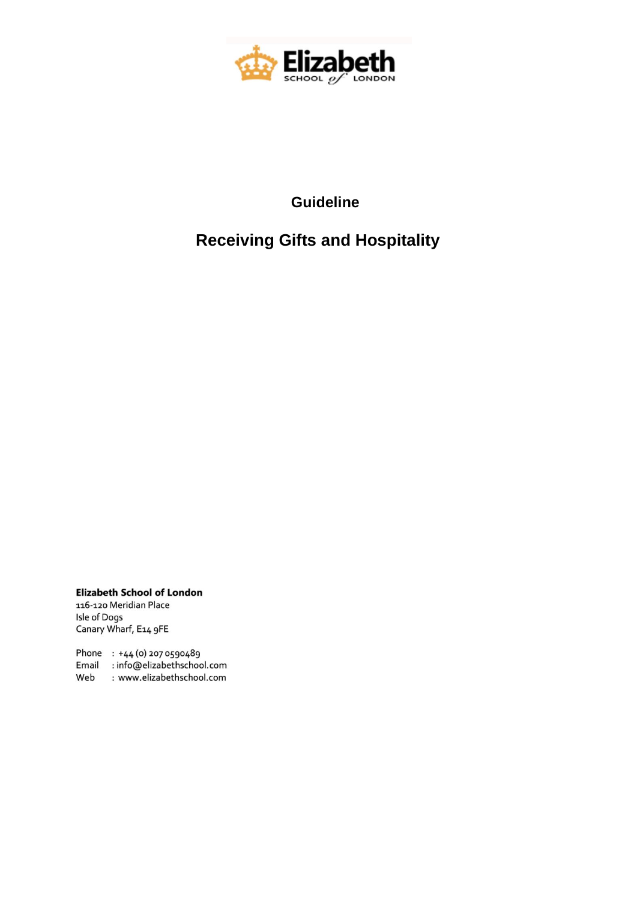

## **Guideline**

## **Receiving Gifts and Hospitality**

**Elizabeth School of London** 116-120 Meridian Place Isle of Dogs Canary Wharf, E14 9FE

Phone : +44 (0) 207 0590489 Email : info@elizabethschool.com Web : www.elizabethschool.com